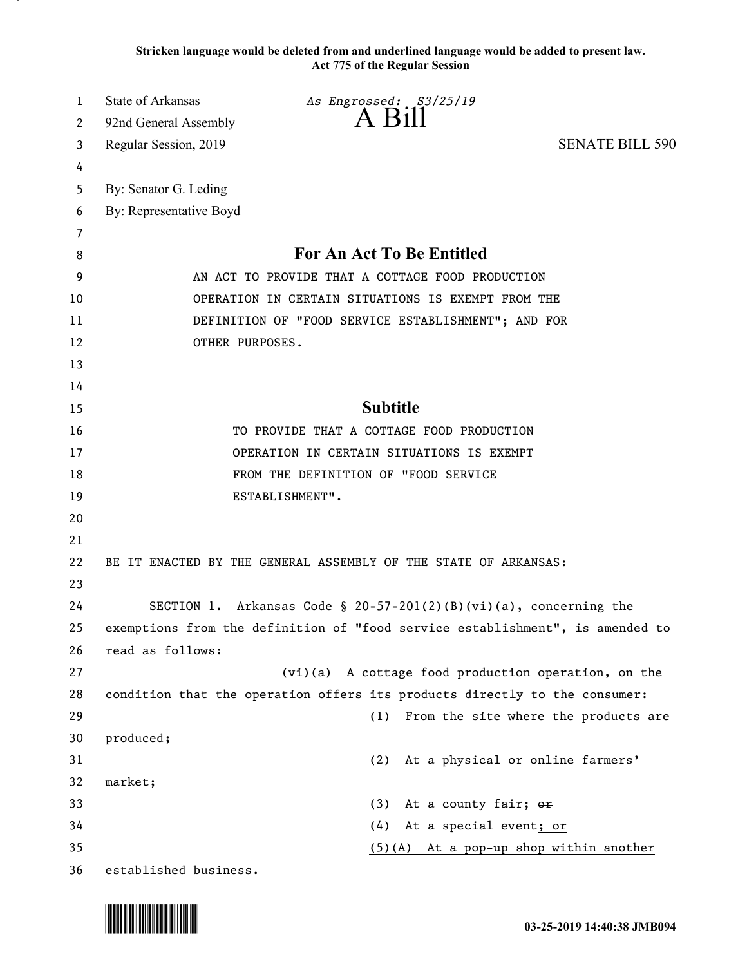**Stricken language would be deleted from and underlined language would be added to present law. Act 775 of the Regular Session**

| 1  | State of Arkansas                                                             | As Engrossed: S3/25/19                                                     |                                      |
|----|-------------------------------------------------------------------------------|----------------------------------------------------------------------------|--------------------------------------|
| 2  | 92nd General Assembly                                                         | $A$ $B1II$                                                                 |                                      |
| 3  | Regular Session, 2019                                                         |                                                                            | <b>SENATE BILL 590</b>               |
| 4  |                                                                               |                                                                            |                                      |
| 5  | By: Senator G. Leding                                                         |                                                                            |                                      |
| 6  | By: Representative Boyd                                                       |                                                                            |                                      |
| 7  |                                                                               |                                                                            |                                      |
| 8  | For An Act To Be Entitled                                                     |                                                                            |                                      |
| 9  | AN ACT TO PROVIDE THAT A COTTAGE FOOD PRODUCTION                              |                                                                            |                                      |
| 10 | OPERATION IN CERTAIN SITUATIONS IS EXEMPT FROM THE                            |                                                                            |                                      |
| 11 | DEFINITION OF "FOOD SERVICE ESTABLISHMENT"; AND FOR                           |                                                                            |                                      |
| 12 | OTHER PURPOSES.                                                               |                                                                            |                                      |
| 13 |                                                                               |                                                                            |                                      |
| 14 |                                                                               |                                                                            |                                      |
| 15 |                                                                               | <b>Subtitle</b>                                                            |                                      |
| 16 | TO PROVIDE THAT A COTTAGE FOOD PRODUCTION                                     |                                                                            |                                      |
| 17 | OPERATION IN CERTAIN SITUATIONS IS EXEMPT                                     |                                                                            |                                      |
| 18 | FROM THE DEFINITION OF "FOOD SERVICE                                          |                                                                            |                                      |
| 19 |                                                                               | ESTABLISHMENT".                                                            |                                      |
| 20 |                                                                               |                                                                            |                                      |
| 21 |                                                                               |                                                                            |                                      |
| 22 | BE IT ENACTED BY THE GENERAL ASSEMBLY OF THE STATE OF ARKANSAS:               |                                                                            |                                      |
| 23 |                                                                               |                                                                            |                                      |
| 24 | SECTION 1. Arkansas Code § 20-57-201(2)(B)(vi)(a), concerning the             |                                                                            |                                      |
| 25 | exemptions from the definition of "food service establishment", is amended to |                                                                            |                                      |
| 26 | read as follows:                                                              |                                                                            |                                      |
| 27 |                                                                               | (vi)(a) A cottage food production operation, on the                        |                                      |
| 28 |                                                                               | condition that the operation offers its products directly to the consumer: |                                      |
| 29 |                                                                               | (1)                                                                        | From the site where the products are |
| 30 | produced;                                                                     |                                                                            |                                      |
| 31 |                                                                               | At a physical or online farmers'<br>(2)                                    |                                      |
| 32 | market;                                                                       |                                                                            |                                      |
| 33 |                                                                               | At a county fair; or<br>(3)                                                |                                      |
| 34 |                                                                               | (4)<br>At a special event; or                                              |                                      |
| 35 |                                                                               | (5)(A) At a pop-up shop within another                                     |                                      |
| 36 | established business.                                                         |                                                                            |                                      |